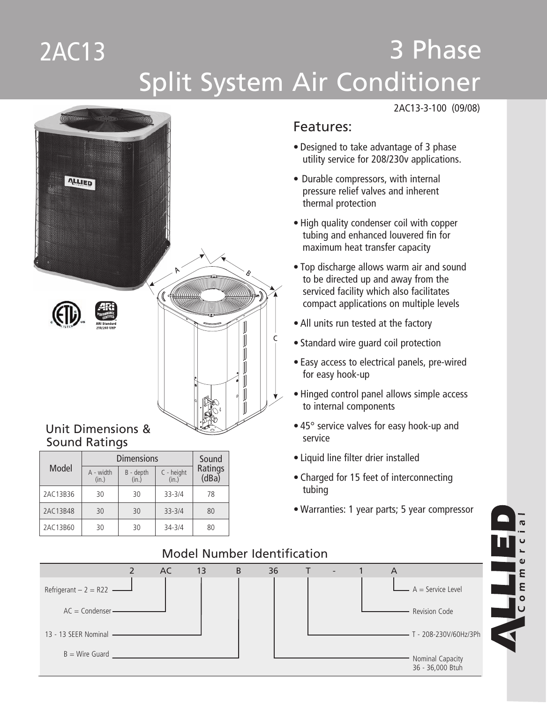## 3 Phase Split System Air Conditioner 2AC13



# Sound Ratings

|          | <b>Dimensions</b>  | Sound            |            |    |
|----------|--------------------|------------------|------------|----|
| Model    | A - width<br>(in.) | Ratings<br>(dBa) |            |    |
| 2AC13B36 | 30                 | 30               | $33 - 3/4$ | 78 |
| 2AC13B48 | 30                 | 30               | $33 - 3/4$ | 80 |
| 2AC13B60 | 30                 | 30               | $34 - 3/4$ | 80 |

#### 2AC13-3-100 (09/08)

#### Features:

- • Designed to take advantage of 3 phase utility service for 208/230v applications.
- Durable compressors, with internal pressure relief valves and inherent thermal protection
- • High quality condenser coil with copper tubing and enhanced louvered fin for maximum heat transfer capacity
- • Top discharge allows warm air and sound to be directed up and away from the serviced facility which also facilitates compact applications on multiple levels
- All units run tested at the factory
- Standard wire guard coil protection
- Easy access to electrical panels, pre-wired for easy hook-up
- Hinged control panel allows simple access to internal components
- 45° service valves for easy hook-up and service
- • Liquid line filter drier installed
- Charged for 15 feet of interconnecting tubing
- • Warranties: 1 year parts; 5 year compressor



#### Model Number Identification

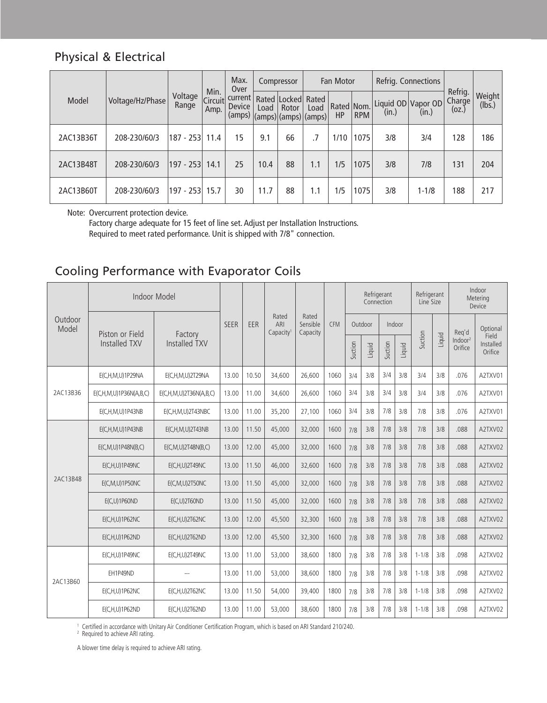### Physical & Electrical

|           |                  |                  |                         | Max.<br>Over                |      | Compressor                                                                          |      | Fan Motor                        |      |                             | Refrig. Connections |                            |                  |
|-----------|------------------|------------------|-------------------------|-----------------------------|------|-------------------------------------------------------------------------------------|------|----------------------------------|------|-----------------------------|---------------------|----------------------------|------------------|
| Model     | Voltage/Hz/Phase | Voltage<br>Range | Min.<br>Circuit<br>Amp. | current<br>Device<br>(amps) | Load | Rated Locked Rated<br>Rotor<br>$\vert$ (amps) $\vert$ (amps) $\vert$ (amps) $\vert$ | Load | Rated   Nom.<br>HP<br><b>RPM</b> |      | Liquid OD Vapor OD<br>(in.) | (in.)               | Refrig.<br>Charge<br>(0Z.) | Weight<br>(lbs.) |
| 2AC13B36T | 208-230/60/3     | $ 187 - 253 $    | 11.4                    | 15                          | 9.1  | 66                                                                                  |      | 1/10                             | 1075 | 3/8                         | 3/4                 | 128                        | 186              |
| 2AC13B48T | 208-230/60/3     | $ 197 - 253 $    | 14.1                    | 25                          | 10.4 | 88                                                                                  | 1.1  | 1/5                              | 1075 | 3/8                         | 7/8                 | 131                        | 204              |
| 2AC13B60T | 208-230/60/3     | 197 - 253        | 15.7                    | 30                          | 11.7 | 88                                                                                  | 1.1  | 1/5                              | 1075 | 3/8                         | $1 - 1/8$           | 188                        | 217              |

Note: Overcurrent protection device.

 Factory charge adequate for 15 feet of line set. Adjust per Installation Instructions.

 Required to meet rated performance. Unit is shipped with 7/8" connection.

### Cooling Performance with Evaporator Coils

|                  | Indoor Model           |                              |             |       |                                       |                               |            | Refrigerant<br>Connection |        |         |        | Refrigerant<br>Line Size |        | Indoor<br>Metering<br>Device   |                               |
|------------------|------------------------|------------------------------|-------------|-------|---------------------------------------|-------------------------------|------------|---------------------------|--------|---------|--------|--------------------------|--------|--------------------------------|-------------------------------|
| Outdoor<br>Model | Piston or Field        | Factory                      | <b>SEER</b> | EER   | Rated<br>ARI<br>Capacity <sup>1</sup> | Rated<br>Sensible<br>Capacity | <b>CFM</b> | Outdoor                   |        | Indoor  |        |                          |        | Req'd                          | Optional                      |
|                  | Installed TXV          | Installed TXV                |             |       |                                       |                               |            | Suction                   | Liquid | Suction | Liquid | Suction                  | Liquid | Indoor <sup>2</sup><br>Orifice | Field<br>Installed<br>Orifice |
|                  | E(C,H,M,U)1P29NA       | E(C,H,M,U)2T29NA             | 13.00       | 10.50 | 34.600                                | 26.600                        | 1060       | 3/4                       | 3/8    | 3/4     | 3/8    | 3/4                      | 3/8    | .076                           | A2TXV01                       |
| 2AC13B36         | E(C,H,M,U)1P36N(A,B,C) | $E(C, H, M, U)$ 2T36N(A,B,C) | 13.00       | 11.00 | 34,600                                | 26,600                        | 1060       | 3/4                       | 3/8    | 3/4     | 3/8    | 3/4                      | 3/8    | .076                           | A2TXV01                       |
|                  | E(C,H,M,U)1P43NB       | E(C,H,M,U)2T43NBC            | 13.00       | 11.00 | 35,200                                | 27,100                        | 1060       | 3/4                       | 3/8    | 7/8     | 3/8    | 7/8                      | 3/8    | .076                           | A2TXV01                       |
|                  | E(C,H,M,U)1P43NB       | $E(C, H, M, U)$ 2T43NB       | 13.00       | 11.50 | 45,000                                | 32,000                        | 1600       | 7/8                       | 3/8    | 7/8     | 3/8    | 7/8                      | 3/8    | .088                           | A2TXV02                       |
|                  | E(C, M, U) 1P48N(B, C) | $E(C, M, U)$ 2T48N(B,C)      | 13.00       | 12.00 | 45,000                                | 32,000                        | 1600       | 7/8                       | 3/8    | 7/8     | 3/8    | 7/8                      | 3/8    | .088                           | A2TXV02                       |
|                  | E(C,H,U)1P49NC         | $E(C, H, U)$ 2T49NC          | 13.00       | 11.50 | 46,000                                | 32,600                        | 1600       | 7/8                       | 3/8    | 7/8     | 3/8    | 7/8                      | 3/8    | .088                           | A2TXV02                       |
| 2AC13B48         | E(C, M, U) 1 P 50 NC   | $E(C, M, U)$ 2T50NC          | 13.00       | 11.50 | 45.000                                | 32,000                        | 1600       | 7/8                       | 3/8    | 7/8     | 3/8    | 7/8                      | 3/8    | .088                           | A2TXV02                       |
|                  | $E(C, U)$ 1P60ND       | $E(C, U)$ 2T60ND             | 13.00       | 11.50 | 45.000                                | 32,000                        | 1600       | 7/8                       | 3/8    | 7/8     | 3/8    | 7/8                      | 3/8    | .088                           | A2TXV02                       |
|                  | E(C,H,U)1P62NC         | $E(C,H,U)$ 2T62NC            | 13.00       | 12.00 | 45,500                                | 32,300                        | 1600       | 7/8                       | 3/8    | 7/8     | 3/8    | 7/8                      | 3/8    | .088                           | A2TXV02                       |
|                  | E(C,H,U)1P62ND         | $E(C, H, U)$ 2T62ND          | 13.00       | 12.00 | 45,500                                | 32,300                        | 1600       | 7/8                       | 3/8    | 7/8     | 3/8    | 7/8                      | 3/8    | .088                           | A2TXV02                       |
|                  | E(C,H,U)1P49NC         | E(C,H,U)2T49NC               | 13.00       | 11.00 | 53.000                                | 38,600                        | 1800       | 7/8                       | 3/8    | 7/8     | 3/8    | $1 - 1/8$                | 3/8    | .098                           | A2TXV02                       |
| 2AC13B60         | EH1P49ND               |                              | 13.00       | 11.00 | 53.000                                | 38.600                        | 1800       | 7/8                       | 3/8    | 7/8     | 3/8    | $1 - 1/8$                | 3/8    | .098                           | A2TXV02                       |
|                  | E(C,H,U)1P62NC         | $E(C,H,U)$ 2T62NC            | 13.00       | 11.50 | 54.000                                | 39.400                        | 1800       | 7/8                       | 3/8    | 7/8     | 3/8    | $1 - 1/8$                | 3/8    | .098                           | A2TXV02                       |
|                  | E(C,H,U)1P62ND         | E(C,H,U)2T62ND               | 13.00       | 11.00 | 53.000                                | 38.600                        | 1800       | 7/8                       | 3/8    | 7/8     | 3/8    | $1 - 1/8$                | 3/8    | .098                           | A2TXV02                       |

'Certified in accordance with Unitary Air Conditioner Certification Program, which is based on ARI Standard 210/240.<br><sup>2</sup> Required to achieve ARI rating.

A blower time delay is required to achieve ARI rating.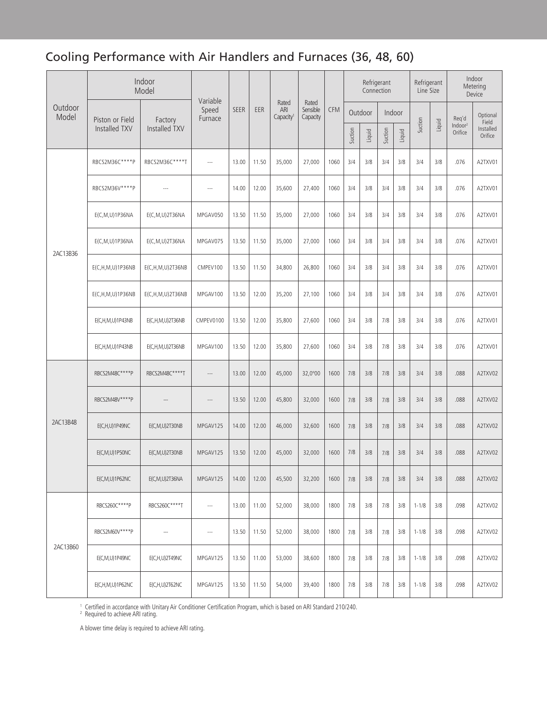## Cooling Performance with Air Handlers and Furnaces (36, 48, 60)

|                  | Indoor<br>Model        |                          | Variable         |             |       |                                       | Rated                |            | Refrigerant<br>Connection |        |         |        | Refrigerant<br>Line Size |        | Indoor<br>Metering<br>Device   |                      |
|------------------|------------------------|--------------------------|------------------|-------------|-------|---------------------------------------|----------------------|------------|---------------------------|--------|---------|--------|--------------------------|--------|--------------------------------|----------------------|
| Outdoor<br>Model | Piston or Field        | Factory                  | Speed<br>Furnace | <b>SEER</b> | EER   | Rated<br>ARI<br>Capacity <sup>1</sup> | Sensible<br>Capacity | <b>CFM</b> | Outdoor                   |        | Indoor  |        |                          |        | Req'd                          | Optional<br>Field    |
|                  | Installed TXV          | Installed TXV            |                  |             |       |                                       |                      |            | Suction                   | Liquid | Suction | Liquid | Suction                  | Liquid | Indoor <sup>2</sup><br>Orifice | Installed<br>Orifice |
|                  | RBCS2M36C****P         | RBCS2M36C****T           | $\sim$           | 13.00       | 11.50 | 35,000                                | 27,000               | 1060       | 3/4                       | 3/8    | 3/4     | 3/8    | 3/4                      | 3/8    | .076                           | A2TXV01              |
|                  | RBCS2M36V****P         | $---$                    | $\sim$           | 14.00       | 12.00 | 35,600                                | 27,400               | 1060       | 3/4                       | 3/8    | 3/4     | 3/8    | 3/4                      | 3/8    | .076                           | A2TXV01              |
|                  | E(C, M, U) 1 P 36 N A  | E(C,M,U)2T36NA           | MPGAV050         | 13.50       | 11.50 | 35,000                                | 27,000               | 1060       | 3/4                       | 3/8    | 3/4     | 3/8    | 3/4                      | 3/8    | .076                           | A2TXV01              |
| 2AC13B36         | E(C, M, U) 1 P 36 N A  | $E(C, M, U)$ 2T36NA      | MPGAV075         | 13.50       | 11.50 | 35,000                                | 27,000               | 1060       | 3/4                       | 3/8    | 3/4     | 3/8    | 3/4                      | 3/8    | .076                           | A2TXV01              |
|                  | $E(C, H, M, U)$ 1P36NB | E(C,H,M,U)2T36NB         | CMPEV100         | 13.50       | 11.50 | 34,800                                | 26,800               | 1060       | 3/4                       | 3/8    | 3/4     | 3/8    | 3/4                      | 3/8    | .076                           | A2TXV01              |
|                  | E(C,H,M,U)1P36NB       | $E(C, H, M, U)$ 2T36NB   | MPGAV100         | 13.50       | 12.00 | 35,200                                | 27,100               | 1060       | 3/4                       | 3/8    | 3/4     | 3/8    | 3/4                      | 3/8    | .076                           | A2TXV01              |
|                  | E(C,H,M,U)1P43NB       | E(C,H,M,U)2T36NB         | CMPEV0100        | 13.50       | 12.00 | 35,800                                | 27,600               | 1060       | 3/4                       | 3/8    | 7/8     | 3/8    | 3/4                      | 3/8    | .076                           | A2TXV01              |
|                  | E(C,H,M,U)1P43NB       | E(C,H,M,U)2T36NB         | MPGAV100         | 13.50       | 12.00 | 35,800                                | 27,600               | 1060       | 3/4                       | 3/8    | 7/8     | 3/8    | 3/4                      | 3/8    | .076                           | A2TXV01              |
|                  | RBCS2M48C****P         | RBCS2M48C****T           | $---$            | 13.00       | 12.00 | 45,000                                | 32,0°00              | 1600       | 7/8                       | 3/8    | 7/8     | 3/8    | 3/4                      | 3/8    | .088                           | A2TXV02              |
|                  | RBCS2M48V****P         |                          |                  | 13.50       | 12.00 | 45,800                                | 32,000               | 1600       | 7/8                       | 3/8    | 7/8     | 3/8    | 3/4                      | 3/8    | .088                           | A2TXV02              |
| 2AC13B48         | E(C,H,U)1P49NC         | E(C,M,U)2T30NB           | MPGAV125         | 14.00       | 12.00 | 46,000                                | 32,600               | 1600       | 7/8                       | 3/8    | 7/8     | 3/8    | 3/4                      | 3/8    | .088                           | A2TXV02              |
|                  | E(C, M, U) 1 P 50 NC   | E(C,M,U)2T30NB           | MPGAV125         | 13.50       | 12.00 | 45,000                                | 32,000               | 1600       | 7/8                       | 3/8    | 7/8     | 3/8    | 3/4                      | 3/8    | .088                           | A2TXV02              |
|                  | E(C,M,U)1P62NC         | E(C,M,U)2T36NA           | MPGAV125         | 14.00       | 12.00 | 45,500                                | 32,200               | 1600       | 7/8                       | 3/8    | 7/8     | 3/8    | 3/4                      | 3/8    | .088                           | A2TXV02              |
|                  | RBCS260C****P          | RBCS260C****T            | $\cdots$         | 13.00       | 11.00 | 52,000                                | 38,000               | 1800       | 7/8                       | 3/8    | 7/8     | 3/8    | $1 - 1/8$                | 3/8    | .098                           | A2TXV02              |
|                  | RBCS2M60V **** P       | $\overline{\phantom{a}}$ | $\cdots$         | 13.50       | 11.50 | 52,000                                | 38,000               | 1800       | 7/8                       | 3/8    | 7/8     | 3/8    | $1 - 1/8$                | 3/8    | .098                           | A2TXV02              |
| 2AC13B60         | E(C,M,U)1P49NC         | E(C,H,U)2T49NC           | MPGAV125         | 13.50       | 11.00 | 53,000                                | 38,600               | 1800       | 7/8                       | 3/8    | 7/8     | 3/8    | $1 - 1/8$                | 3/8    | .098                           | A2TXV02              |
|                  | E(C,H,M,U)1P62NC       | $E(C, H, U)$ 2T62NC      | MPGAV125         | 13.50       | 11.50 | 54,000                                | 39,400               | 1800       | 7/8                       | 3/8    | 7/8     | 3/8    | $1 - 1/8$                | 3/8    | .098                           | A2TXV02              |

'Certified in accordance with Unitary Air Conditioner Certification Program, which is based on ARI Standard 210/240.<br><sup>2</sup> Required to achieve ARI rating.

A blower time delay is required to achieve ARI rating.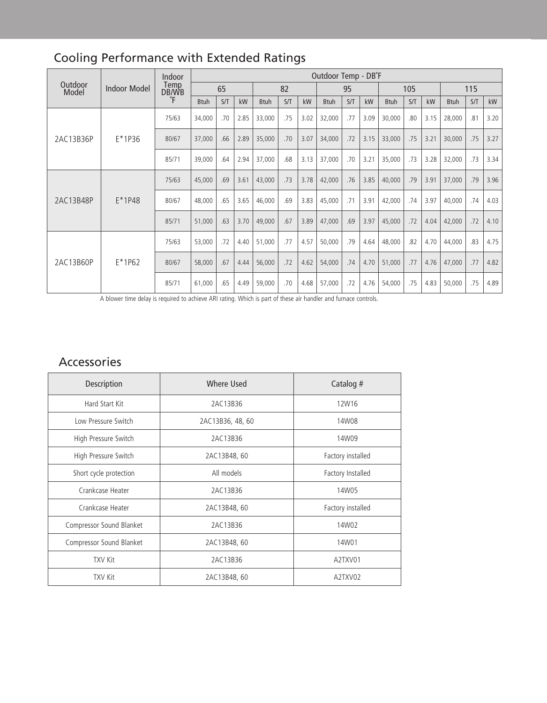|                  |                     | Indoor<br>Temp<br>DB/WB | Outdoor Temp - DB°F |     |      |             |     |      |             |     |      |             |     |      |             |     |      |
|------------------|---------------------|-------------------------|---------------------|-----|------|-------------|-----|------|-------------|-----|------|-------------|-----|------|-------------|-----|------|
| Outdoor<br>Model | <b>Indoor Model</b> |                         | 65                  |     |      | 82          |     |      | 95          |     |      | 105         |     |      | 115         |     |      |
|                  |                     | °F                      | <b>Btuh</b>         | S/T | kW   | <b>Btuh</b> | S/T | kW   | <b>Btuh</b> | S/T | kW   | <b>Btuh</b> | S/T | kW   | <b>Btuh</b> | S/T | kW   |
| 2AC13B36P        |                     | 75/63                   | 34,000              | .70 | 2.85 | 33,000      | .75 | 3.02 | 32,000      | .77 | 3.09 | 30,000      | .80 | 3.15 | 28,000      | .81 | 3.20 |
|                  | $E*1P36$            | 80/67                   | 37,000              | .66 | 2.89 | 35,000      | .70 | 3.07 | 34,000      | .72 | 3.15 | 33,000      | .75 | 3.21 | 30,000      | .75 | 3.27 |
|                  |                     | 85/71                   | 39,000              | .64 | 2.94 | 37,000      | .68 | 3.13 | 37,000      | .70 | 3.21 | 35,000      | .73 | 3.28 | 32,000      | .73 | 3.34 |
|                  | $E*1P48$            | 75/63                   | 45,000              | .69 | 3.61 | 43,000      | .73 | 3.78 | 42,000      | .76 | 3.85 | 40,000      | .79 | 3.91 | 37,000      | .79 | 3.96 |
| 2AC13B48P        |                     | 80/67                   | 48,000              | .65 | 3.65 | 46,000      | .69 | 3.83 | 45,000      | .71 | 3.91 | 42,000      | .74 | 3.97 | 40,000      | .74 | 4.03 |
|                  |                     | 85/71                   | 51,000              | .63 | 3.70 | 49,000      | .67 | 3.89 | 47,000      | .69 | 3.97 | 45,000      | .72 | 4.04 | 42,000      | .72 | 4.10 |
|                  | $E*1P62$            | 75/63                   | 53,000              | .72 | 4.40 | 51,000      | .77 | 4.57 | 50,000      | .79 | 4.64 | 48,000      | .82 | 4.70 | 44,000      | .83 | 4.75 |
| 2AC13B60P        |                     | 80/67                   | 58,000              | .67 | 4.44 | 56,000      | .72 | 4.62 | 54,000      | .74 | 4.70 | 51,000      | .77 | 4.76 | 47,000      | .77 | 4.82 |
|                  |                     | 85/71                   | 61,000              | .65 | 4.49 | 59,000      | .70 | 4.68 | 57,000      | .72 | 4.76 | 54,000      | .75 | 4.83 | 50,000      | .75 | 4.89 |

## Cooling Performance with Extended Ratings

A blower time delay is required to achieve ARI rating. Which is part of these air handler and furnace controls.

### Accessories

| Description              | Where Used       | Catalog #         |
|--------------------------|------------------|-------------------|
| Hard Start Kit           | 2AC13B36         | 12W16             |
| Low Pressure Switch      | 2AC13B36, 48, 60 | 14W08             |
| High Pressure Switch     | 2AC13B36         | 14W09             |
| High Pressure Switch     | 2AC13B48, 60     | Factory installed |
| Short cycle protection   | All models       | Factory Installed |
| Crankcase Heater         | 2AC13B36         | 14W05             |
| Crankcase Heater         | 2AC13B48, 60     | Factory installed |
| Compressor Sound Blanket | 2AC13B36         | 14W02             |
| Compressor Sound Blanket | 2AC13B48, 60     | 14W01             |
| <b>TXV Kit</b>           | 2AC13B36         | A2TXV01           |
| <b>TXV Kit</b>           | 2AC13B48, 60     | A2TXV02           |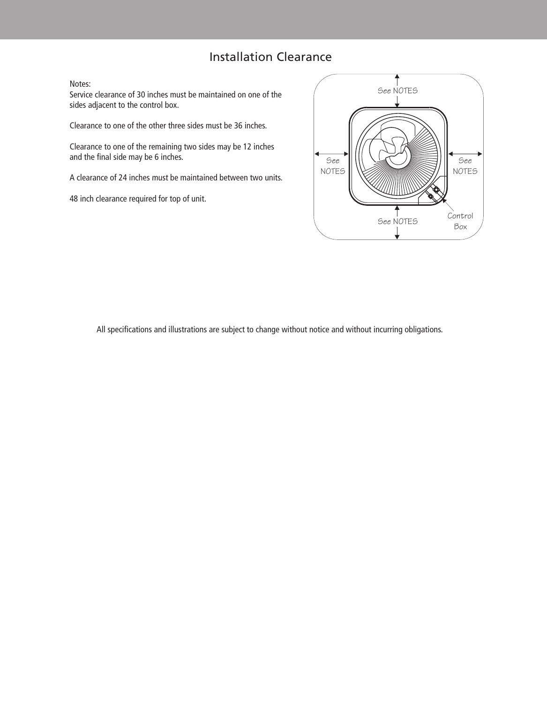#### Installation Clearance

Notes:

Service clearance of 30 inches must be maintained on one of the sides adjacent to the control box.

Clearance to one of the other three sides must be 36 inches.

Clearance to one of the remaining two sides may be 12 inches and the final side may be 6 inches.

A clearance of 24 inches must be maintained between two units.

48 inch clearance required for top of unit.



All specifications and illustrations are subject to change without notice and without incurring obligations.